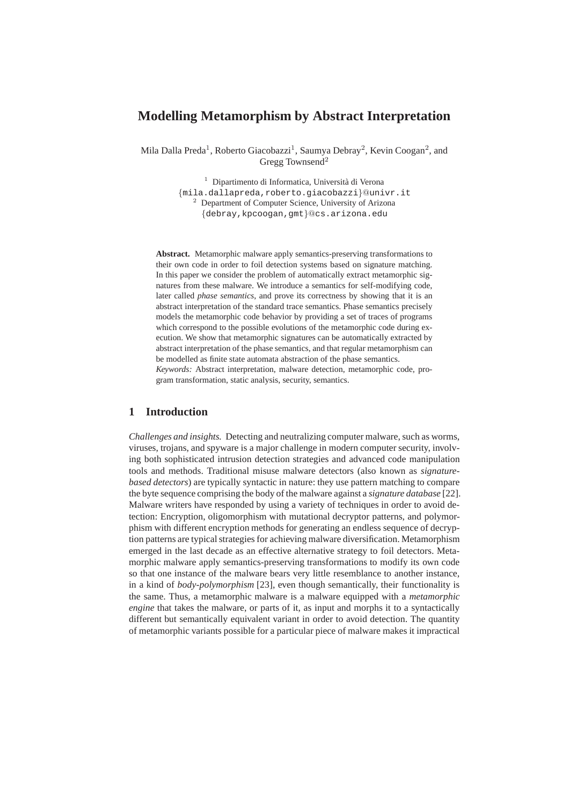# **Modelling Metamorphism by Abstract Interpretation**

Mila Dalla Preda<sup>1</sup>, Roberto Giacobazzi<sup>1</sup>, Saumya Debray<sup>2</sup>, Kevin Coogan<sup>2</sup>, and Gregg Townsend<sup>2</sup>

 $1$  Dipartimento di Informatica, Università di Verona

{mila.dallapreda,roberto.giacobazzi}@univr.it

<sup>2</sup> Department of Computer Science, University of Arizona {debray,kpcoogan,gmt}@cs.arizona.edu

**Abstract.** Metamorphic malware apply semantics-preserving transformations to their own code in order to foil detection systems based on signature matching. In this paper we consider the problem of automatically extract metamorphic signatures from these malware. We introduce a semantics for self-modifying code, later called *phase semantics*, and prove its correctness by showing that it is an abstract interpretation of the standard trace semantics. Phase semantics precisely models the metamorphic code behavior by providing a set of traces of programs which correspond to the possible evolutions of the metamorphic code during execution. We show that metamorphic signatures can be automatically extracted by abstract interpretation of the phase semantics, and that regular metamorphism can be modelled as finite state automata abstraction of the phase semantics. *Keywords:* Abstract interpretation, malware detection, metamorphic code, program transformation, static analysis, security, semantics.

### **1 Introduction**

*Challenges and insights.* Detecting and neutralizing computer malware, such as worms, viruses, trojans, and spyware is a major challenge in modern computer security, involving both sophisticated intrusion detection strategies and advanced code manipulation tools and methods. Traditional misuse malware detectors (also known as *signaturebased detectors*) are typically syntactic in nature: they use pattern matching to compare the byte sequence comprising the body of the malware against a *signature database* [22]. Malware writers have responded by using a variety of techniques in order to avoid detection: Encryption, oligomorphism with mutational decryptor patterns, and polymorphism with different encryption methods for generating an endless sequence of decryption patterns are typical strategies for achieving malware diversification. Metamorphism emerged in the last decade as an effective alternative strategy to foil detectors. Metamorphic malware apply semantics-preserving transformations to modify its own code so that one instance of the malware bears very little resemblance to another instance, in a kind of *body-polymorphism* [23], even though semantically, their functionality is the same. Thus, a metamorphic malware is a malware equipped with a *metamorphic engine* that takes the malware, or parts of it, as input and morphs it to a syntactically different but semantically equivalent variant in order to avoid detection. The quantity of metamorphic variants possible for a particular piece of malware makes it impractical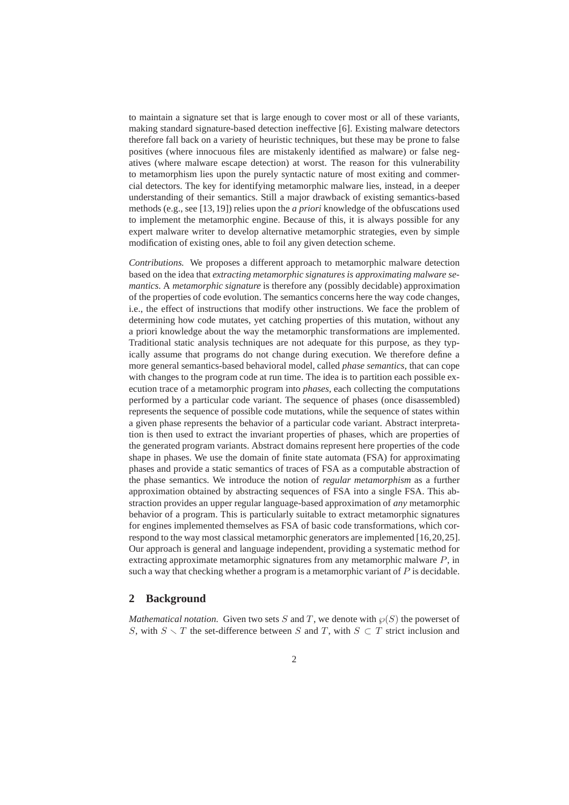to maintain a signature set that is large enough to cover most or all of these variants, making standard signature-based detection ineffective [6]. Existing malware detectors therefore fall back on a variety of heuristic techniques, but these may be prone to false positives (where innocuous files are mistakenly identified as malware) or false negatives (where malware escape detection) at worst. The reason for this vulnerability to metamorphism lies upon the purely syntactic nature of most exiting and commercial detectors. The key for identifying metamorphic malware lies, instead, in a deeper understanding of their semantics. Still a major drawback of existing semantics-based methods (e.g., see [13,19]) relies upon the *a priori* knowledge of the obfuscations used to implement the metamorphic engine. Because of this, it is always possible for any expert malware writer to develop alternative metamorphic strategies, even by simple modification of existing ones, able to foil any given detection scheme.

*Contributions.* We proposes a different approach to metamorphic malware detection based on the idea that *extracting metamorphic signatures is approximating malware semantics*. A *metamorphic signature* is therefore any (possibly decidable) approximation of the properties of code evolution. The semantics concerns here the way code changes, i.e., the effect of instructions that modify other instructions. We face the problem of determining how code mutates, yet catching properties of this mutation, without any a priori knowledge about the way the metamorphic transformations are implemented. Traditional static analysis techniques are not adequate for this purpose, as they typically assume that programs do not change during execution. We therefore define a more general semantics-based behavioral model, called *phase semantics*, that can cope with changes to the program code at run time. The idea is to partition each possible execution trace of a metamorphic program into *phases*, each collecting the computations performed by a particular code variant. The sequence of phases (once disassembled) represents the sequence of possible code mutations, while the sequence of states within a given phase represents the behavior of a particular code variant. Abstract interpretation is then used to extract the invariant properties of phases, which are properties of the generated program variants. Abstract domains represent here properties of the code shape in phases. We use the domain of finite state automata (FSA) for approximating phases and provide a static semantics of traces of FSA as a computable abstraction of the phase semantics. We introduce the notion of *regular metamorphism* as a further approximation obtained by abstracting sequences of FSA into a single FSA. This abstraction provides an upper regular language-based approximation of *any* metamorphic behavior of a program. This is particularly suitable to extract metamorphic signatures for engines implemented themselves as FSA of basic code transformations, which correspond to the way most classical metamorphic generators are implemented [16,20,25]. Our approach is general and language independent, providing a systematic method for extracting approximate metamorphic signatures from any metamorphic malware P, in such a way that checking whether a program is a metamorphic variant of  $P$  is decidable.

#### **2 Background**

*Mathematical notation.* Given two sets S and T, we denote with  $\wp(S)$  the powerset of S, with  $S \setminus T$  the set-difference between S and T, with  $S \subset T$  strict inclusion and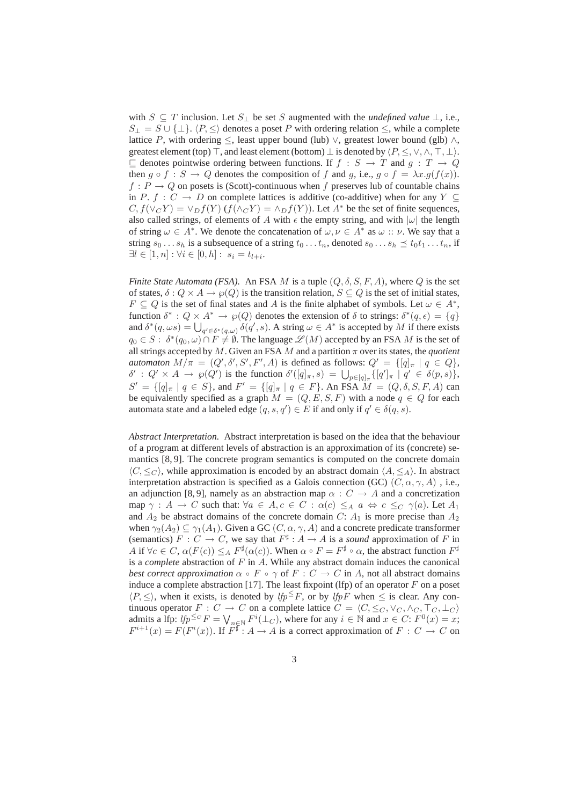with  $S \subseteq T$  inclusion. Let  $S_{\perp}$  be set S augmented with the *undefined value*  $\perp$ , i.e.,  $S_{\perp} = S \cup \{\perp\}, \langle P, \leq \rangle$  denotes a poset P with ordering relation  $\leq$ , while a complete lattice P, with ordering  $\leq$ , least upper bound (lub)  $\vee$ , greatest lower bound (glb)  $\wedge$ , greatest element (top) ⊤, and least element (bottom)  $\perp$  is denoted by  $\langle P, \leq, \vee, \wedge, \top, \bot \rangle$ .  $\Box$  denotes pointwise ordering between functions. If  $f : S \rightarrow T$  and  $q : T \rightarrow Q$ then  $g \circ f : S \to Q$  denotes the composition of f and g, i.e.,  $g \circ f = \lambda x . g(f(x))$ .  $f: P \to Q$  on posets is (Scott)-continuous when f preserves lub of countable chains in P.  $f : C \to D$  on complete lattices is additive (co-additive) when for any  $Y \subseteq$  $C, f(\vee_C Y) = \vee_D f(Y)$   $(f(\wedge_C Y) = \wedge_D f(Y))$ . Let  $A^*$  be the set of finite sequences, also called strings, of elements of A with  $\epsilon$  the empty string, and with  $|\omega|$  the length of string  $\omega \in A^*$ . We denote the concatenation of  $\omega, \nu \in A^*$  as  $\omega :: \nu$ . We say that a string  $s_0 \dots s_h$  is a subsequence of a string  $t_0 \dots t_n$ , denoted  $s_0 \dots s_h \preceq t_0 t_1 \dots t_n$ , if  $\exists l \in [1, n] : \forall i \in [0, h] : s_i = t_{l+i}.$ 

*Finite State Automata (FSA).* An FSA M is a tuple  $(Q, \delta, S, F, A)$ , where Q is the set of states,  $\delta: Q \times A \to \varphi(Q)$  is the transition relation,  $S \subseteq Q$  is the set of initial states,  $F \subseteq Q$  is the set of final states and A is the finite alphabet of symbols. Let  $\omega \in A^*$ , function  $\delta^* : Q \times A^* \to \wp(Q)$  denotes the extension of  $\delta$  to strings:  $\delta^*(q, \epsilon) = \{q\}$ and  $\delta^*(q,\omega s) = \bigcup_{q' \in \delta^*(q,\omega)} \delta(q',s)$ . A string  $\omega \in A^*$  is accepted by M if there exists  $q_0 \in S: \delta^*(q_0, \omega) \cap F \neq \emptyset$ . The language  $\mathscr{L}(M)$  accepted by an FSA  $M$  is the set of all strings accepted by M. Given an FSA M and a partition π over its states, the *quotient automaton*  $M/\pi = (Q', \delta', S', F', A)$  is defined as follows:  $Q' = \{[q]_\pi | q \in Q\}$ ,  $\delta'$ :  $Q' \times A \to \wp(Q')$  is the function  $\delta'([q]_\pi, s) = \bigcup_{p \in [q]_\pi} \{ [q']_\pi \mid q' \in \delta(p, s) \},$  $S' = \{ [q]_\pi \mid q \in S \}$ , and  $F' = \{ [q]_\pi \mid q \in F \}$ . An FSA  $M = (Q, \delta, S, F, A)$  can be equivalently specified as a graph  $M = (Q, E, S, F)$  with a node  $q \in Q$  for each automata state and a labeled edge  $(q, s, q') \in E$  if and only if  $q' \in \delta(q, s)$ .

*Abstract Interpretation.* Abstract interpretation is based on the idea that the behaviour of a program at different levels of abstraction is an approximation of its (concrete) semantics [8, 9]. The concrete program semantics is computed on the concrete domain  $\langle C, \leq_C \rangle$ , while approximation is encoded by an abstract domain  $\langle A, \leq_A \rangle$ . In abstract interpretation abstraction is specified as a Galois connection (GC)  $(C, \alpha, \gamma, A)$ , i.e., an adjunction [8, 9], namely as an abstraction map  $\alpha : C \to A$  and a concretization map  $\gamma : A \to C$  such that:  $\forall a \in A, c \in C : \alpha(c) \leq_A a \Leftrightarrow c \leq_C \gamma(a)$ . Let  $A_1$ and  $A_2$  be abstract domains of the concrete domain C:  $A_1$  is more precise than  $A_2$ when  $\gamma_2(A_2) \subseteq \gamma_1(A_1)$ . Given a GC  $(C, \alpha, \gamma, A)$  and a concrete predicate transformer (semantics)  $F: C \to C$ , we say that  $F^{\sharp}: A \to A$  is a *sound* approximation of F in A if  $\forall c \in C$ ,  $\alpha(F(c)) \leq_A F^{\sharp}(\alpha(c))$ . When  $\alpha \circ F = F^{\sharp} \circ \alpha$ , the abstract function  $F^{\sharp}$ is a *complete* abstraction of F in A. While any abstract domain induces the canonical *best correct approximation*  $\alpha \circ F \circ \gamma$  of  $F : C \to C$  in A, not all abstract domains induce a complete abstraction [17]. The least fixpoint (lfp) of an operator  $F$  on a poset  $\langle P, \leq \rangle$ , when it exists, is denoted by  $lfp^{\leq}F$ , or by  $lfpF$  when  $\leq$  is clear. Any continuous operator  $F : C \to C$  on a complete lattice  $C = \langle C, \leq_C, \vee_C, \wedge_C, \top_C, \bot_C \rangle$ admits a lfp:  $lfp^{\leq c}F = \bigvee_{n \in \mathbb{N}} F^i(\bot_C)$ , where for any  $i \in \mathbb{N}$  and  $x \in C$ :  $F^0(x) = x$ ;  $F^{i+1}(x) = F(F^{i}(x))$ . If  $F^{\sharp}: A \to A$  is a correct approximation of  $F: C \to C$  on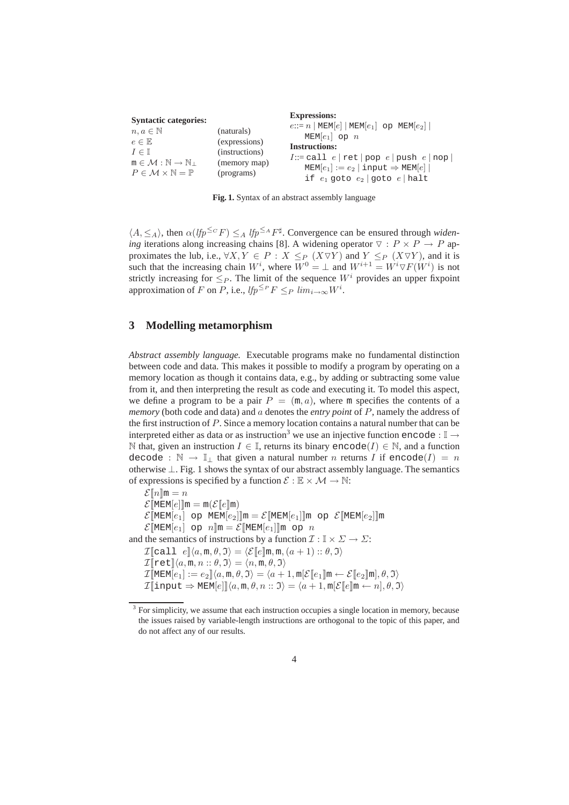| <b>Syntactic categories:</b>                       |                | <b>Expressions:</b>                                                                 |
|----------------------------------------------------|----------------|-------------------------------------------------------------------------------------|
|                                                    |                | $e ::= n   \text{MEM}[e]   \text{MEM}[e_1]$ op $\text{MEM}[e_2]  $                  |
| $n, a \in \mathbb{N}$                              | (naturals)     | $MEM[e_1]$ op $n$                                                                   |
| $e \in \mathbb{E}$                                 | (expressions)  | <b>Instructions:</b>                                                                |
| $I \in \mathbb{I}$                                 | (instructions) | $I ::= \text{call } e   \text{ret}   \text{pop } e   \text{push } e   \text{nop}  $ |
| $m \in \mathcal{M} : \mathbb{N} \to \mathbb{N}$    | (memory map)   |                                                                                     |
| $P \in \mathcal{M} \times \mathbb{N} = \mathbb{P}$ | (programs)     | $MEM[e_1] := e_2   input \Rightarrow MEM[e]  $                                      |
|                                                    |                | if $e_1$ goto $e_2$ goto $e \mid$ halt                                              |

**Fig. 1.** Syntax of an abstract assembly language

 $\langle A, \leq_A \rangle$ , then  $\alpha(lfp^{\leq C}F) \leq_A lp^{\leq_A F^{\sharp}}$ . Convergence can be ensured through *widening* iterations along increasing chains [8]. A widening operator  $\nabla$  :  $P \times P \rightarrow P$  approximates the lub, i.e.,  $\forall X, Y \in P : X \leq_P (X \nabla Y)$  and  $Y \leq_P (X \nabla Y)$ , and it is such that the increasing chain  $W^i$ , where  $W^0 = \perp$  and  $W^{i+1} = W^i \nabla F(W^i)$  is not strictly increasing for  $\leq_P$ . The limit of the sequence  $W^i$  provides an upper fixpoint approximation of F on P, i.e.,  $lfp^{\leq p}F \leq_P lim_{i\to\infty}W^i$ .

### **3 Modelling metamorphism**

*Abstract assembly language.* Executable programs make no fundamental distinction between code and data. This makes it possible to modify a program by operating on a memory location as though it contains data, e.g., by adding or subtracting some value from it, and then interpreting the result as code and executing it. To model this aspect, we define a program to be a pair  $P = (m, a)$ , where m specifies the contents of a *memory* (both code and data) and a denotes the *entry point* of P, namely the address of the first instruction of P. Since a memory location contains a natural number that can be interpreted either as data or as instruction<sup>3</sup> we use an injective function encode :  $\mathbb{I} \rightarrow$ N that, given an instruction  $I \in \mathbb{I}$ , returns its binary encode(I) ∈ N, and a function decode :  $\mathbb{N} \to \mathbb{I}_{\perp}$  that given a natural number *n* returns *I* if encode(*I*) = *n* otherwise  $\perp$ . Fig. 1 shows the syntax of our abstract assembly language. The semantics of expressions is specified by a function  $\mathcal{E} : \mathbb{E} \times \mathcal{M} \to \mathbb{N}$ :

 $\mathcal{E}[n]$ m = n  $\mathcal{E}[\mathsf{MEM}[e]]\mathfrak{m} = \mathfrak{m}(\mathcal{E}[e]\mathfrak{m})$  $\mathcal{E}[\![\mathtt{MEM}[e_1]\!] \mathtt{op}\ \mathtt{MEM}[e_2]\!] \mathtt{m} = \mathcal{E}[\![\mathtt{MEM}[e_1]\!] \mathtt{m} \mathtt{op}\ \mathcal{E}[\![\mathtt{MEM}[e_2]\!] \mathtt{m}$  $\mathcal{E}[\texttt{MEM}[e_1]$  op  $n\mathbb{m} = \mathcal{E}[\texttt{MEM}[e_1]]\mathbb{m}$  op  $n$ and the semantics of instructions by a function  $\mathcal{I}: \mathbb{I} \times \Sigma \to \Sigma$ :  $\mathcal{I}$ [call  $e$ ] $\langle a, m, \theta, \mathcal{I} \rangle = \langle \mathcal{E}[e]$ m, m, $(a + 1) :: \theta, \mathcal{I} \rangle$  $\mathcal{I}$ [ret] $\langle a, m, n : : \theta, \mathcal{I} \rangle = \langle n, m, \theta, \mathcal{I} \rangle$  $\mathcal{I}[\mathbb{M}\mathbb{E}\mathbb{M}[e_1] := e_2 \, \| \langle a, \mathfrak{m}, \theta, \mathfrak{I} \rangle = \langle a+1, \mathfrak{m}[\mathcal{E}[\![e_1]\!] \mathfrak{m} \leftarrow \mathcal{E}[\![e_2]\!] \mathfrak{m}], \theta, \mathfrak{I} \rangle$  $\mathcal{I}$ [input  $\Rightarrow$  MEM[e]] $\langle a, m, \theta, n ::\mathcal{I}\rangle = \langle a+1,m[\mathcal{E}[\![e]\!]m \leftarrow n], \theta, \mathcal{I}\rangle$ 

 $3$  For simplicity, we assume that each instruction occupies a single location in memory, because the issues raised by variable-length instructions are orthogonal to the topic of this paper, and do not affect any of our results.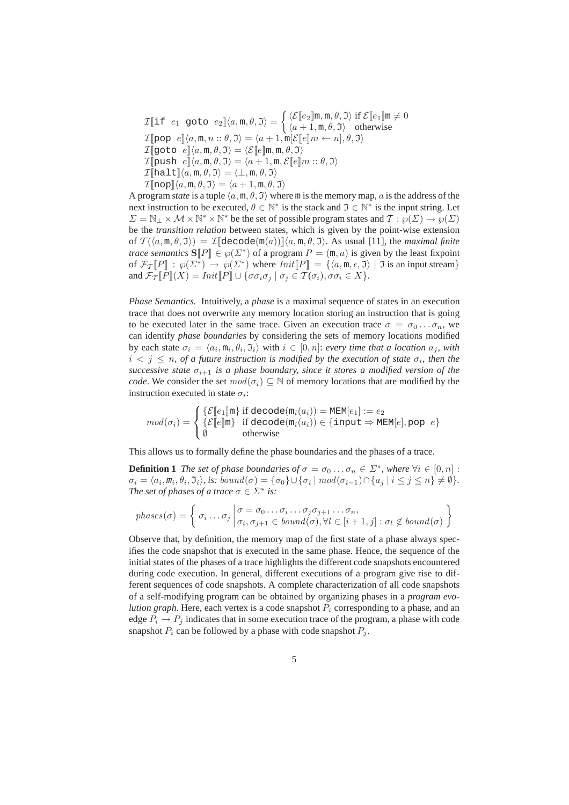$\mathcal{I}[\![\texttt{if}\!] \ e_1 \ \texttt{goto}\!] \ e_2]\! \langle a, \mathfrak{m}, \theta, \mathfrak{I} \rangle = \begin{cases} \langle \mathcal{E}[\![e_2]\!] \mathfrak{m}, \mathfrak{m}, \theta, \mathfrak{I} \rangle \ \text{if}\; \mathcal{E}[\![e_1]\!] \mathfrak{m} \neq 0 \\ \langle a+1,\mathfrak{m}, \theta, \mathfrak{I} \rangle \ \text{otherwise.} \end{cases}$  $\langle a + 1, m, \theta, \mathfrak{I} \rangle$  otherwise  $\mathcal{I}\llbracket \texttt{pop} \;\; e \rrbracket \langle a, \mathfrak{m}, n \,::\, \theta, \mathfrak{I} \rangle = \langle a+1, \mathfrak{\bar{m}}[ \mathcal{E}[\![ e ]\!] m \leftarrow n], \theta, \mathfrak{I}$  $\mathcal{I}[\texttt{goto} \ e]\langle a, \mathfrak{m}, \theta, \mathfrak{I}\rangle = \langle \mathcal{E}[\![e]\!] \mathfrak{m}, \mathfrak{m}, \theta, \mathfrak{I}\rangle$  $\mathcal{I}[\text{push } e] \langle a, m, \theta, \mathfrak{I} \rangle = \langle a + 1, m, \mathcal{E}[e]m :: \theta, \mathfrak{I} \rangle$  $\mathcal{I}[\mathsf{halt}](a, \mathsf{m}, \theta, \mathfrak{I}) = \langle \bot, \mathsf{m}, \theta, \mathfrak{I} \rangle$  $\mathcal{I}$ [[nop] $\langle a, m, \theta, \mathfrak{I} \rangle = \langle a + 1, m, \theta, \mathfrak{I} \rangle$ 

A program *state* is a tuple  $\langle a, m, \theta, \mathfrak{I} \rangle$  where m is the memory map, a is the address of the next instruction to be executed,  $\theta \in \mathbb{N}^*$  is the stack and  $\mathfrak{I} \in \mathbb{N}^*$  is the input string. Let  $\Sigma = \mathbb{N}_+ \times \mathcal{M} \times \mathbb{N}^* \times \mathbb{N}^*$  be the set of possible program states and  $\mathcal{T}: \wp(\Sigma) \to \wp(\Sigma)$ be the *transition relation* between states, which is given by the point-wise extension of  $\mathcal{T}(\langle a, m, \theta, \mathfrak{I} \rangle) = \mathcal{I}[\text{decode}(m(a))] \langle a, m, \theta, \mathfrak{I} \rangle$ . As usual [11], the *maximal finite trace semantics*  $S[P] \in \wp(\Sigma^*)$  of a program  $P = (m, a)$  is given by the least fixpoint of  $\mathcal{F}_{\mathcal{T}}[P] : \wp(\Sigma^*) \to \wp(\Sigma^*)$  where  $Init[P] = {\langle a, m, \epsilon, \mathfrak{I} \rangle \mid \mathfrak{I} \text{ is an input stream}}$ and  $\mathcal{F}_{\mathcal{T}}[\![P]\!](X) = \text{Init}[\![P]\!] \cup \{\sigma \sigma_i \sigma_j \mid \sigma_j \in \mathcal{T}(\sigma_i), \sigma \sigma_i \in X\}.$ 

*Phase Semantics.* Intuitively, a *phase* is a maximal sequence of states in an execution trace that does not overwrite any memory location storing an instruction that is going to be executed later in the same trace. Given an execution trace  $\sigma = \sigma_0 \dots \sigma_n$ , we can identify *phase boundaries* by considering the sets of memory locations modified by each state  $\sigma_i = \langle a_i, m_i, \theta_i, \mathfrak{I}_i \rangle$  with  $i \in [0, n]$ : *every time that a location*  $a_j$ *, with*  $i < j \le n$ , of a future instruction is modified by the execution of state  $\sigma_i$ , then the *successive state*  $\sigma_{i+1}$  *is a phase boundary, since it stores a modified version of the code*. We consider the set  $mod(\sigma_i) \subseteq \mathbb{N}$  of memory locations that are modified by the instruction executed in state  $\sigma_i$ :

$$
\mathit{mod}(\sigma_i) = \left\{ \begin{matrix} \{\mathcal{E}\llbracket e_1 \rrbracket \mathfrak{m}\} \text{ if } \texttt{decode}(\mathfrak{m}_i(a_i)) = \texttt{MEM}[e_1] := e_2 \\ \{\mathcal{E}\llbracket e \rrbracket \mathfrak{m}\} \text{ if } \texttt{decode}(\mathfrak{m}_i(a_i)) \in \{\texttt{input} \Rightarrow \texttt{MEM}[e], \texttt{pop}\;\; e\} \\ \emptyset \text{ otherwise} \end{matrix} \right\}
$$

This allows us to formally define the phase boundaries and the phases of a trace.

**Definition 1** *The set of phase boundaries of*  $\sigma = \sigma_0 \dots \sigma_n \in \Sigma^*$ , where  $\forall i \in [0, n]$ :  $\sigma_i = \langle a_i, m_i, \theta_i, \mathfrak{I}_i \rangle$ , is: bound $(\sigma) = {\sigma_0} \cup {\sigma_i \mid mod(\sigma_{i-1}) \cap \{a_j \mid i \leq j \leq n\}} \neq \emptyset$ . *The set of phases of a trace*  $\sigma \in \Sigma^*$  *is:* 

$$
phases(\sigma) = \left\{ \sigma_i \dots \sigma_j \middle| \begin{matrix} \sigma = \sigma_0 \dots \sigma_i \dots \sigma_j \sigma_{j+1} \dots \sigma_n, \\ \sigma_i, \sigma_{j+1} \in bound(\sigma), \forall l \in [i+1, j] : \sigma_l \notin bound(\sigma) \end{matrix} \right\}
$$

Observe that, by definition, the memory map of the first state of a phase always specifies the code snapshot that is executed in the same phase. Hence, the sequence of the initial states of the phases of a trace highlights the different code snapshots encountered during code execution. In general, different executions of a program give rise to different sequences of code snapshots. A complete characterization of all code snapshots of a self-modifying program can be obtained by organizing phases in a *program evolution graph*. Here, each vertex is a code snapshot  $P_i$  corresponding to a phase, and an edge  $P_i \rightarrow P_j$  indicates that in some execution trace of the program, a phase with code snapshot  $P_i$  can be followed by a phase with code snapshot  $P_i$ .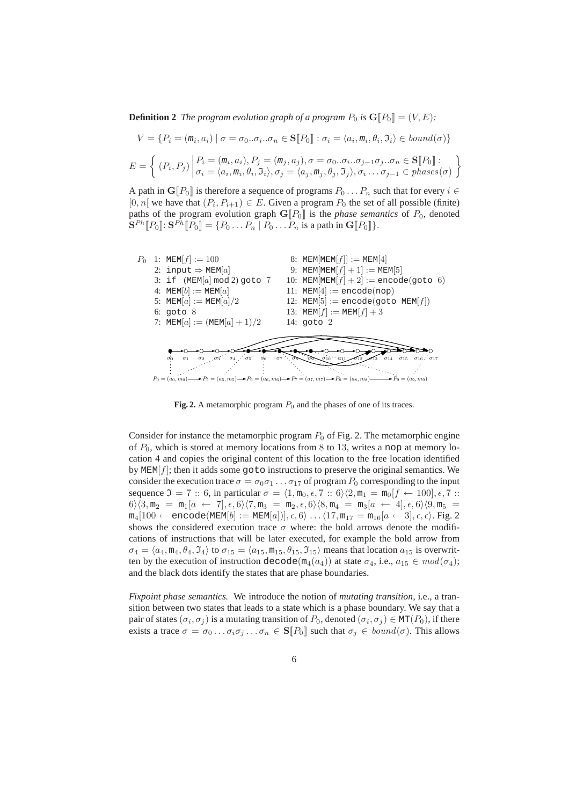**Definition 2** *The program evolution graph of a program*  $P_0$  *is*  $\mathbf{G}[P_0] = (V, E)$ *:* 

$$
V = \{P_i = (m_i, a_i) \mid \sigma = \sigma_0 \dots \sigma_i \dots \sigma_n \in \mathbf{S}[\![P_0]\!]: \sigma_i = \langle a_i, m_i, \theta_i, \mathfrak{I}_i \rangle \in bound(\sigma)\}
$$

$$
E = \left\{ (P_i, P_j) \middle| \begin{aligned} P_i &= (m_i, a_i), P_j = (m_j, a_j), \sigma = \sigma_0 \dots \sigma_i \dots \sigma_{j-1} \sigma_j \dots \sigma_n \in \mathbf{S}[\![P_0]\!]: \\ \sigma_i &= \langle a_i, m_i, \theta_i, \mathfrak{I}_i \rangle, \sigma_j = \langle a_j, m_j, \theta_j, \mathfrak{I}_j \rangle, \sigma_i \dots \sigma_{j-1} \in phases(\sigma) \end{aligned} \right\}
$$

A path in  $\mathbf{G}[P_0]$  is therefore a sequence of programs  $P_0 \dots P_n$  such that for every  $i \in$ [0, n[ we have that  $(P_i, P_{i+1}) \in E$ . Given a program  $P_0$  the set of all possible (finite) paths of the program evolution graph  $\mathbf{G}[P_0]$  is the *phase semantics* of  $P_0$ , denoted  $\mathbf{S}^{Ph}[P_0] \colon \mathbf{S}^{Ph}[P_0] = \{P_0 \dots P_n | P_0 \dots P_n \text{ is a path in } \mathbf{G}[P_0] \}.$ 



**Fig. 2.** A metamorphic program  $P_0$  and the phases of one of its traces.

Consider for instance the metamorphic program  $P_0$  of Fig. 2. The metamorphic engine of  $P_0$ , which is stored at memory locations from 8 to 13, writes a nop at memory location 4 and copies the original content of this location to the free location identified by  $MEM[f]$ ; then it adds some goto instructions to preserve the original semantics. We consider the execution trace  $\sigma = \sigma_0 \sigma_1 \dots \sigma_{17}$  of program  $P_0$  corresponding to the input sequence  $\mathfrak{I} = 7 :: 6$ , in particular  $\sigma = \langle 1, \mathfrak{m}_0, \epsilon, 7 :: 6 \rangle \langle 2, \mathfrak{m}_1 = \mathfrak{m}_0[f \leftarrow 100], \epsilon, 7 ::$  $6\rangle\langle 3,\mathfrak{m}_2 = \mathfrak{m}_1[a \leftarrow 7], \epsilon, 6\rangle\langle 7,\mathfrak{m}_3 = \mathfrak{m}_2, \epsilon, 6\rangle\langle 8,\mathfrak{m}_4 = \mathfrak{m}_3[a \leftarrow 4], \epsilon, 6\rangle\langle 9,\mathfrak{m}_5 =$  $m_4[100 \leftarrow \texttt{encode}(\texttt{MEM}[b] := \texttt{MEM}[a]), \epsilon, 6 \rangle \dots \langle 17, m_{17} = m_{16}[a \leftarrow 3], \epsilon, \epsilon \rangle$ . Fig. 2 shows the considered execution trace  $\sigma$  where: the bold arrows denote the modifications of instructions that will be later executed, for example the bold arrow from  $\sigma_4 = \langle a_4, m_4, \theta_4, \mathfrak{I}_4 \rangle$  to  $\sigma_{15} = \langle a_{15}, m_{15}, \theta_{15}, \mathfrak{I}_{15} \rangle$  means that location  $a_{15}$  is overwritten by the execution of instruction decode( $m_4(a_4)$ ) at state  $\sigma_4$ , i.e.,  $a_{15} \in \text{mod}(\sigma_4)$ ; and the black dots identify the states that are phase boundaries.

*Fixpoint phase semantics.* We introduce the notion of *mutating transition*, i.e., a transition between two states that leads to a state which is a phase boundary. We say that a pair of states  $(\sigma_i, \sigma_j)$  is a mutating transition of  $P_0$ , denoted  $(\sigma_i, \sigma_j) \in \text{MT}(P_0)$ , if there exists a trace  $\sigma = \sigma_0 \dots \sigma_i \sigma_j \dots \sigma_n \in \mathbf{S}[P_0]$  such that  $\sigma_j \in bound(\sigma)$ . This allows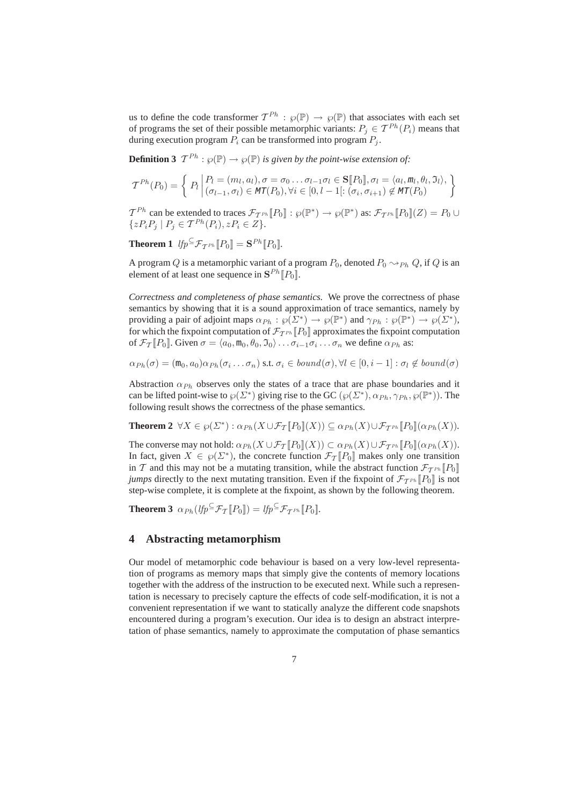us to define the code transformer  $\mathcal{T}^{Ph}$  :  $\wp(\mathbb{P}) \to \wp(\mathbb{P})$  that associates with each set of programs the set of their possible metamorphic variants:  $P_i \in \mathcal{T}^{Ph}(P_i)$  means that during execution program  $P_i$  can be transformed into program  $P_i$ .

**Definition 3**  $\mathcal{T}^{Ph} : \wp(\mathbb{P}) \to \wp(\mathbb{P})$  is given by the point-wise extension of:

$$
\mathcal{T}^{Ph}(P_0) = \left\{ P_l \middle| \begin{matrix} P_l = (m_l, a_l), \sigma = \sigma_0 \dots \sigma_{l-1} \sigma_l \in \mathbf{S} [P_0], \sigma_l = \langle a_l, m_l, \theta_l, \mathfrak{I}_l \rangle, \\ (\sigma_{l-1}, \sigma_l) \in \text{MT}(P_0), \forall i \in [0, l-1 [:(\sigma_i, \sigma_{i+1}) \notin \text{MT}(P_0)) \end{matrix} \right\}
$$

 $\mathcal{T}^{Ph}$  can be extended to traces  $\mathcal{F}_{\mathcal{T}^{Ph}}[\![P_0]\!]: \wp(\mathbb{P}^*) \to \wp(\mathbb{P}^*)$  as:  $\mathcal{F}_{\mathcal{T}^{Ph}}[\![P_0]\!](Z) = P_0 \cup$  $\{zP_iP_j \mid P_j \in \mathcal{T}^{Ph}(P_i), zP_i \in Z\}.$ 

**Theorem 1**  $\mathit{lfp}^{\subseteq} \mathcal{F}_{\mathcal{T}^{Ph}}[\![P_0]\!]=\mathbf{S}^{Ph}[\![P_0]\!].$ 

A program Q is a metamorphic variant of a program  $P_0$ , denoted  $P_0 \rightarrow_{Ph} Q$ , if Q is an element of at least one sequence in  $S^{Ph} [P_0]$ .

*Correctness and completeness of phase semantics.* We prove the correctness of phase semantics by showing that it is a sound approximation of trace semantics, namely by providing a pair of adjoint maps  $\alpha_{Ph} : \wp(\Sigma^*) \to \wp(\mathbb{P}^*)$  and  $\gamma_{Ph} : \wp(\mathbb{P}^*) \to \wp(\Sigma^*)$ , for which the fixpoint computation of  $\mathcal{F}_{T^{Ph}}[P_0]$  approximates the fixpoint computation of  $\mathcal{F}_{\mathcal{T}}[\![P_0]\!]$ . Given  $\sigma = \langle a_0, \mathfrak{m}_0, \theta_0, \mathfrak{I}_0 \rangle \dots \sigma_{i-1} \sigma_i \dots \sigma_n$  we define  $\alpha_{Ph}$  as:

$$
\alpha_{Ph}(\sigma) = (m_0, a_0) \alpha_{Ph}(\sigma_i \dots \sigma_n) \text{ s.t. } \sigma_i \in bound(\sigma), \forall l \in [0, i-1]: \sigma_l \notin bound(\sigma)
$$

Abstraction  $\alpha_{Ph}$  observes only the states of a trace that are phase boundaries and it can be lifted point-wise to  $\wp(\Sigma^*)$  giving rise to the GC  $(\wp(\Sigma^*), \alpha_{Ph}, \gamma_{Ph}, \wp(\mathbb{P}^*))$ . The following result shows the correctness of the phase semantics.

**Theorem 2**  $\forall X \in \wp(\Sigma^*) : \alpha_{Ph}(X \cup \mathcal{F}_{\mathcal{T}}[P_0](X)) \subseteq \alpha_{Ph}(X) \cup \mathcal{F}_{\mathcal{T}^{Ph}}[P_0](\alpha_{Ph}(X)).$ 

The converse may not hold:  $\alpha_{Ph}(X \cup \mathcal{F}_{T}[[P_{0}]](X)) \subset \alpha_{Ph}(X) \cup \mathcal{F}_{T^{Ph}}[[P_{0}]](\alpha_{Ph}(X)).$ In fact, given  $X \in \mathcal{P}(\Sigma^*)$ , the concrete function  $\mathcal{F}_T[\![P_0]\!]$  makes only one transition in T and this may not be a mutating transition, while the abstract function  $\mathcal{F}_{T^{Ph}}[P_0]$ *jumps* directly to the next mutating transition. Even if the fixpoint of  $\mathcal{F}_{T^{Ph}}[P_0]$  is not step-wise complete, it is complete at the fixpoint, as shown by the following theorem.

**Theorem 3**  $\alpha_{Ph} (lfp^{\subseteq} \mathcal{F}_{\mathcal{T}}[P_0]) = lfp^{\subseteq} \mathcal{F}_{\mathcal{T}^{Ph}}[P_0].$ 

### **4 Abstracting metamorphism**

Our model of metamorphic code behaviour is based on a very low-level representation of programs as memory maps that simply give the contents of memory locations together with the address of the instruction to be executed next. While such a representation is necessary to precisely capture the effects of code self-modification, it is not a convenient representation if we want to statically analyze the different code snapshots encountered during a program's execution. Our idea is to design an abstract interpretation of phase semantics, namely to approximate the computation of phase semantics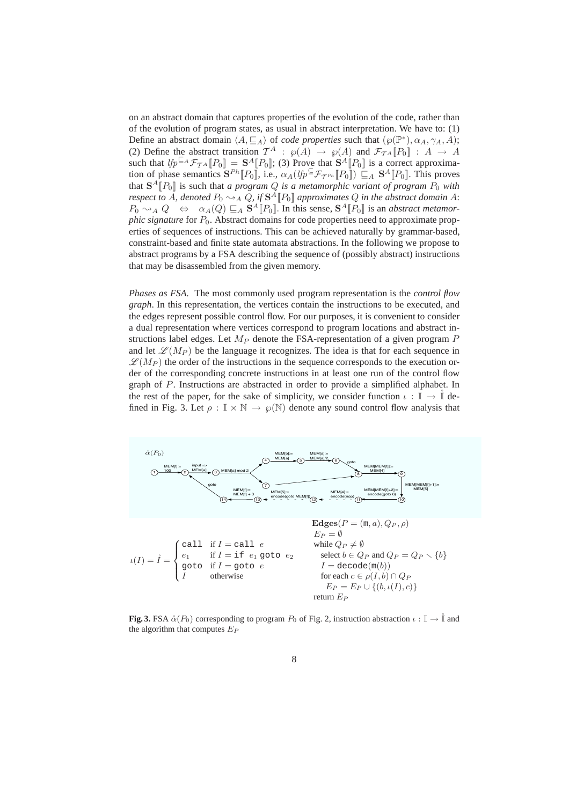on an abstract domain that captures properties of the evolution of the code, rather than of the evolution of program states, as usual in abstract interpretation. We have to: (1) Define an abstract domain  $\langle A, \sqsubseteq_A \rangle$  of *code properties* such that  $(\wp(\mathbb{P}^*), \alpha_A, \gamma_A, A);$ (2) Define the abstract transition  $T^A$ :  $\wp(A) \to \wp(A)$  and  $\mathcal{F}_{T^A}[[P_0]] : A \to A$ such that  $\text{Hip}^{\text{E}_A} \mathcal{F}_{\mathcal{T}^A} [P_0] = \mathbf{S}^A [P_0]$ ; (3) Prove that  $\mathbf{S}^A [P_0]$  is a correct approximation of phase semantics  $S^{Ph}[P_0]$ , i.e.,  $\alpha_A(\text{tr}^{\subseteq} \mathcal{F}_{T^{Ph}}[P_0]) \subseteq_A S^A[P_0]$ . This proves that  $S^A[P_0]$  is such that *a program Q is a metamorphic variant of program*  $P_0$  *with respect to A, denoted*  $P_0 \sim_A Q$ , if  $S^A[\![P_0]\!]$  *approximates*  $Q$  *in the abstract domain* A:  $P_0 \rightsquigarrow_A Q \Leftrightarrow \alpha_A(Q) \sqsubseteq_A \mathbf{S}^A[\![P_0]\!]$ . In this sense,  $\mathbf{S}^A[\![P_0]\!]$  is an *abstract metamorphic signature* for  $P_0$ . Abstract domains for code properties need to approximate properties of sequences of instructions. This can be achieved naturally by grammar-based, constraint-based and finite state automata abstractions. In the following we propose to abstract programs by a FSA describing the sequence of (possibly abstract) instructions that may be disassembled from the given memory.

*Phases as FSA.* The most commonly used program representation is the *control flow graph*. In this representation, the vertices contain the instructions to be executed, and the edges represent possible control flow. For our purposes, it is convenient to consider a dual representation where vertices correspond to program locations and abstract instructions label edges. Let  $M_P$  denote the FSA-representation of a given program  $P$ and let  $\mathscr{L}(M_P)$  be the language it recognizes. The idea is that for each sequence in  $\mathscr{L}(M_P)$  the order of the instructions in the sequence corresponds to the execution order of the corresponding concrete instructions in at least one run of the control flow graph of P. Instructions are abstracted in order to provide a simplified alphabet. In the rest of the paper, for the sake of simplicity, we consider function  $\iota : \mathbb{I} \to \mathbb{I}$  defined in Fig. 3. Let  $\rho : \mathbb{I} \times \mathbb{N} \to \varphi(\mathbb{N})$  denote any sound control flow analysis that



**Fig. 3.** FSA  $\alpha(P_0)$  corresponding to program  $P_0$  of Fig. 2, instruction abstraction  $\iota : \mathbb{I} \to \mathbb{I}$  and the algorithm that computes  $E_P$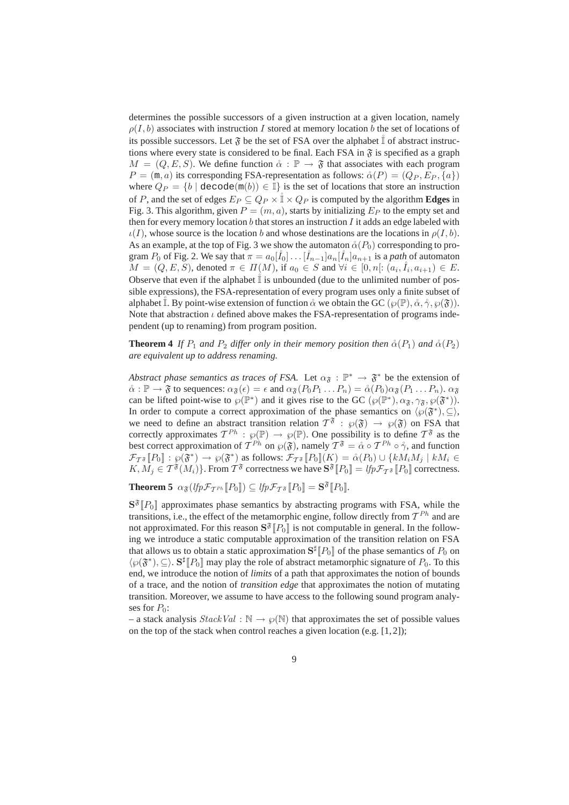determines the possible successors of a given instruction at a given location, namely  $\rho(I, b)$  associates with instruction I stored at memory location b the set of locations of its possible successors. Let  $\mathfrak F$  be the set of FSA over the alphabet  $\mathring{\mathbb I}$  of abstract instructions where every state is considered to be final. Each FSA in  $\tilde{\sigma}$  is specified as a graph  $M = (Q, E, S)$ . We define function  $\alpha : \mathbb{P} \to \mathfrak{F}$  that associates with each program  $P = (m, a)$  its corresponding FSA-representation as follows:  $\alpha(P) = (Q_P, E_P, \{a\})$ where  $Q_P = \{b \mid \text{decode}(m(b)) \in \mathbb{I}\}\$  is the set of locations that store an instruction of P, and the set of edges  $E_P \subseteq Q_P \times \mathbb{I} \times Q_P$  is computed by the algorithm **Edges** in Fig. 3. This algorithm, given  $P = (m, a)$ , starts by initializing  $E_P$  to the empty set and then for every memory location b that stores an instruction I it adds an edge labeled with  $\iota(I)$ , whose source is the location b and whose destinations are the locations in  $\rho(I, b)$ . As an example, at the top of Fig. 3 we show the automaton  $\alpha(P_0)$  corresponding to program  $P_0$  of Fig. 2. We say that  $\pi = a_0[\tilde{I}_0] \dots [\tilde{I}_{n-1}] a_n[\tilde{I}_n] a_{n+1}$  is a *path* of automaton  $M = (Q, E, S)$ , denoted  $\pi \in \Pi(M)$ , if  $a_0 \in S$  and  $\forall i \in [0, n[ : (a_i, \mathring{I}_i, a_{i+1}) \in E]$ . Observe that even if the alphabet  $\mathring{\mathbb{I}}$  is unbounded (due to the unlimited number of possible expressions), the FSA-representation of every program uses only a finite subset of alphabet I. By point-wise extension of function  $\alpha$  we obtain the GC  $(\wp(\mathbb{P}), \alpha, \gamma, \wp(\mathfrak{F}))$ . Note that abstraction  $\iota$  defined above makes the FSA-representation of programs independent (up to renaming) from program position.

**Theorem 4** *If*  $P_1$  *and*  $P_2$  *differ only in their memory position then*  $\alpha(P_1)$  *and*  $\alpha(P_2)$ *are equivalent up to address renaming.*

*Abstract phase semantics as traces of FSA.* Let  $\alpha_{\mathfrak{F}} : \mathbb{P}^* \to \mathfrak{F}^*$  be the extension of  $\mathring{\alpha}: \mathbb{P} \to \mathfrak{F}$  to sequences:  $\alpha_{\mathfrak{F}}(\epsilon) = \epsilon$  and  $\alpha_{\mathfrak{F}}(P_0P_1 \ldots P_n) = \mathring{\alpha}(P_0)\alpha_{\mathfrak{F}}(P_1 \ldots P_n)$ .  $\alpha_{\mathfrak{F}}$ can be lifted point-wise to  $\wp(\mathbb{P}^*)$  and it gives rise to the GC  $(\wp(\mathbb{P}^*), \alpha_{\mathfrak{F}}, \gamma_{\mathfrak{F}}, \wp(\mathfrak{F}^*))$ . In order to compute a correct approximation of the phase semantics on  $\langle \wp(\mathfrak{F}^*), \subseteq \rangle$ , we need to define an abstract transition relation  $T^{\tilde{\sigma}}$  :  $\wp(\tilde{\mathfrak{F}}) \to \wp(\tilde{\mathfrak{F}})$  on FSA that correctly approximates  $\mathcal{T}^{Ph}$ :  $\wp(\mathbb{P}) \to \wp(\mathbb{P})$ . One possibility is to define  $\mathcal{T}^{\mathfrak{F}}$  as the best correct approximation of  $\mathcal{T}^{Ph}$  on  $\wp(\mathfrak{F})$ , namely  $\mathcal{T}^{\mathfrak{F}} = \alpha \circ \mathcal{T}^{Ph} \circ \gamma$ , and function  $\mathcal{F}_{\mathcal{T}^{\mathfrak{F}}}[P_0] : \wp(\mathfrak{F}^*) \to \wp(\mathfrak{F}^*)$  as follows:  $\mathcal{F}_{\mathcal{T}^{\mathfrak{F}}}[P_0](K) = \mathfrak{d}(P_0) \cup \{kM_iM_j \mid kM_i \in$  $K, \tilde{M_j} \in \tilde{\mathcal{T}^{\mathfrak{F}}}(M_i)$ . From  $\tilde{\mathcal{T}^{\mathfrak{F}}}$  correctness we have  $\mathbf{S}^{\mathfrak{F}}[P_0] = \mathit{lfp}\mathcal{F}_{\mathcal{T}^{\mathfrak{F}}}[P_0]$  correctness.

**Theorem 5**  $\alpha_{\mathfrak{F}}(lfp\mathcal{F}_{\mathcal{T}^{Ph}}[P_0]) \subseteq lfp\mathcal{F}_{\mathcal{T}^{\mathfrak{F}}}[P_0] = \mathbf{S}^{\mathfrak{F}}[P_0].$ 

 $S^{\mathfrak{F}}[P_0]$  approximates phase semantics by abstracting programs with FSA, while the transitions, i.e., the effect of the metamorphic engine, follow directly from  $\mathcal{T}^{Ph}$  and are not approximated. For this reason  $S^{\mathfrak{F}}[P_0]$  is not computable in general. In the following we introduce a static computable approximation of the transition relation on FSA that allows us to obtain a static approximation  $S^{\sharp}[\![P_{0}]\!]$  of the phase semantics of  $P_{0}$  on  $\langle \wp(\mathfrak{F}^*), \subseteq \rangle$ . S<sup>#</sup>[ $P_0$ ] may play the role of abstract metamorphic signature of  $P_0$ . To this end, we introduce the notion of *limits* of a path that approximates the notion of bounds of a trace, and the notion of *transition edge* that approximates the notion of mutating transition. Moreover, we assume to have access to the following sound program analyses for  $P_0$ :

– a stack analysis  $StackVal : \mathbb{N} \to \mathcal{O}(\mathbb{N})$  that approximates the set of possible values on the top of the stack when control reaches a given location (e.g. [1, 2]);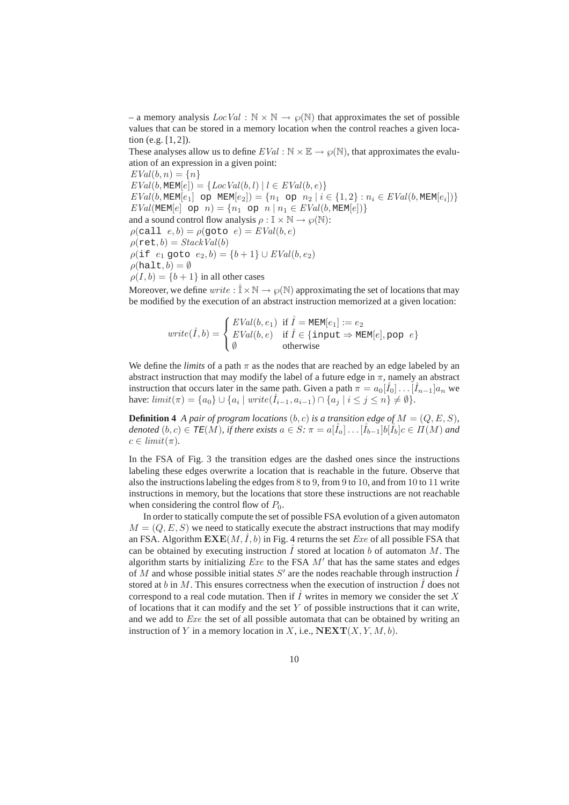– a memory analysis  $LocVal : \mathbb{N} \times \mathbb{N} \to \mathcal{P}(\mathbb{N})$  that approximates the set of possible values that can be stored in a memory location when the control reaches a given location (e.g. [1, 2]).

These analyses allow us to define  $EVal : \mathbb{N} \times \mathbb{E} \to \wp(\mathbb{N})$ , that approximates the evaluation of an expression in a given point:

 $EVal(b, n) = \{n\}$  $EVal(b, \text{MEM}[e]) = \{LocVal(b, l) | l \in EVal(b, e)\}$  $EVal(b, \texttt{MEM}[e_1] \texttt{ op } \texttt{MEM}[e_2]) = \{n_1 \texttt{ op } n_2 \mid i \in \{1,2\}: n_i \in EVal(b, \texttt{MEM}[e_i])\}$  $EVal(MEM[e]$  op  $n) = \{n_1 \text{ op } n \mid n_1 \in EVal(b, MEM[e])\}$ and a sound control flow analysis  $\rho : \mathbb{I} \times \mathbb{N} \to \wp(\mathbb{N})$ :  $\rho(\text{call } e, b) = \rho(\text{goto } e) = EVal(b, e)$  $\rho(\texttt{ret}, b) = StackVal(b)$  $\rho(\text{if } e_1 \text{ goto } e_2, b) = \{b+1\} \cup EVal(b, e_2)$  $\rho$ (halt, b) = Ø  $\rho(I, b) = \{b+1\}$  in all other cases

Moreover, we define  $write : \mathbb{I} \times \mathbb{N} \to \wp(\mathbb{N})$  approximating the set of locations that may be modified by the execution of an abstract instruction memorized at a given location:

$$
write(\mathring{I}, b) = \begin{cases} \text{EVal}(b, e_1) & \text{if } \mathring{I} = \text{MEM}[e_1] := e_2 \\ \text{EVal}(b, e) & \text{if } \mathring{I} \in \{\text{input} \Rightarrow \text{MEM}[e], \text{pop } e\} \\ \emptyset & \text{otherwise} \end{cases}
$$

We define the *limits* of a path  $\pi$  as the nodes that are reached by an edge labeled by an abstract instruction that may modify the label of a future edge in  $\pi$ , namely an abstract instruction that occurs later in the same path. Given a path  $\pi = a_0[\tilde{I}_0] \dots [\tilde{I}_{n-1}] a_n$  we have:  $\text{limit}(\pi) = \{a_0\} \cup \{a_i \mid \text{write}(\hat{I}_{i-1}, a_{i-1}) \cap \{\hat{a}_j \mid i \leq j \leq n\} \neq \emptyset\}.$ 

**Definition 4** *A pair of program locations*  $(b, c)$  *is a transition edge of*  $M = (Q, E, S)$ *, denoted*  $(b, c) \in \text{TE}(M)$ *, if there exists*  $a \in S$ *:*  $\pi = a[\check{I}_a] \dots [\check{I}_{b-1}] b[\check{I}_b] c \in \Pi(M)$  and  $c \in limit(\pi)$ .

In the FSA of Fig. 3 the transition edges are the dashed ones since the instructions labeling these edges overwrite a location that is reachable in the future. Observe that also the instructions labeling the edges from 8 to 9, from 9 to 10, and from 10 to 11 write instructions in memory, but the locations that store these instructions are not reachable when considering the control flow of  $P_0$ .

In order to statically compute the set of possible FSA evolution of a given automaton  $M = (Q, E, S)$  we need to statically execute the abstract instructions that may modify an FSA. Algorithm  $\mathbf{EXE}(M, \mathring{I}, b)$  in Fig. 4 returns the set *Exe* of all possible FSA that can be obtained by executing instruction  $\tilde{I}$  stored at location b of automaton M. The algorithm starts by initializing  $Exec$  to the FSA  $M'$  that has the same states and edges of M and whose possible initial states  $S'$  are the nodes reachable through instruction  $\mathring{I}$ stored at b in M. This ensures correctness when the execution of instruction  $\tilde{I}$  does not correspond to a real code mutation. Then if  $\tilde{I}$  writes in memory we consider the set X of locations that it can modify and the set  $Y$  of possible instructions that it can write, and we add to Exe the set of all possible automata that can be obtained by writing an instruction of Y in a memory location in X, i.e.,  $NEXT(X, Y, M, b)$ .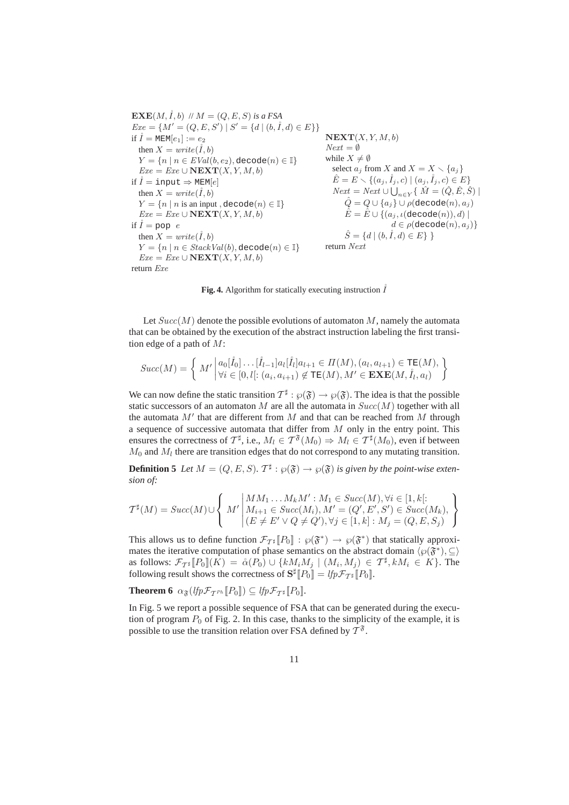$\mathbf{EXE}(M, \mathring{I}, b)$  //  $M = (Q, E, S)$  *is a FSA*  $Exe = \{M' = (Q, E, S') | S' = \{d | (b, \mathring{I}, d) \in E\}\}\$ if  $I = MEM[e_1] := e_2$ then  $X = write(\tilde{I}, b)$  $Y = \{n \mid n \in EVal(b, e_2), \text{decode}(n) \in \mathbb{I}\}\$  $Exec = Exe \cup **NEXT**(X, Y, M, b)$ if  $\mathring{I}$  = input  $\Rightarrow$  MEM[e] then  $X = write(\mathring{I}, b)$  $Y = \{n \mid n \text{ is an input }, \text{decode}(n) \in \mathbb{I}\}\$  $Exec = Exe \cup **NEXT**(X, Y, M, b)$ if  $I = pop e$ then  $X = write(\mathring{I}, b)$  $Y = \{n \mid n \in StackVal(b), decode(n) \in \mathbb{I}\}\$  $Exec = Exc \cup **NEXT**(X, Y, M, b)$ return Exe  $NEXT(X, Y, M, b)$  $Next = \emptyset$ while  $X \neq \emptyset$ select  $a_j$  from X and  $X = X \setminus \{a_j\}$  $\hat{E} = E \setminus \{(a_j, \tilde{I}_j , c) | (a_j, \tilde{I}_j , c) \in E\}$  $Next = Next \cup \bigcup_{n \in Y} \{ \hat{M} = (\hat{Q}, \hat{E}, \hat{S}) \}$  $\hat{Q} = Q \cup \{a_j\} \cup \rho$ (decode $(n), a_j$ )  $\hat{E} = \hat{E} \cup \{(a_j, \iota(\text{decode}(n)), d) \mid$  $d \in \rho$ (decode $(n), a_j$ )}  $\hat{S} = \{d \mid (b, \hat{I}, d) \in E\}$ return Next

**Fig. 4.** Algorithm for statically executing instruction  $\tilde{I}$ 

Let  $Succ(M)$  denote the possible evolutions of automaton M, namely the automata that can be obtained by the execution of the abstract instruction labeling the first transition edge of a path of  $M$ :

$$
Succ(M) = \left\{ M' \middle| \begin{matrix} a_0[\mathring{I}_0] \dots [\mathring{I}_{l-1}]a_l[\mathring{I}_l]a_{l+1} \in \Pi(M), (a_l, a_{l+1}) \in \text{TE}(M), \\ \forall i \in [0, l]; (a_i, a_{i+1}) \notin \text{TE}(M), M' \in \text{EXE}(M, \mathring{I}_l, a_l) \end{matrix} \right\}
$$

We can now define the static transition  $T^{\sharp}: \wp(\mathfrak{F}) \to \wp(\mathfrak{F})$ . The idea is that the possible static successors of an automaton M are all the automata in  $Succ(M)$  together with all the automata  $M'$  that are different from  $M$  and that can be reached from  $M$  through a sequence of successive automata that differ from  $M$  only in the entry point. This ensures the correctness of  $T^{\sharp}$ , i.e.,  $M_l \in T^{\mathfrak{F}}(M_0) \Rightarrow M_l \in T^{\sharp}(M_0)$ , even if between  $M_0$  and  $M_l$  there are transition edges that do not correspond to any mutating transition.

**Definition 5** Let  $M = (Q, E, S)$ .  $T^{\sharp}: \wp(\mathfrak{F}) \to \wp(\mathfrak{F})$  is given by the point-wise exten*sion of:*

$$
\mathcal{T}^{\sharp}(M) = Succ(M) \cup \left\{ M' \middle| \begin{aligned} MM_1 \dots M_k M' : M_1 \in Succ(M), \forall i \in [1, k]; \\ M_{i+1} \in Succ(M_i), M' = (Q', E', S') \in Succ(M_k), \\ (E \neq E' \lor Q \neq Q'), \forall j \in [1, k] : M_j = (Q, E, S_j) \end{aligned} \right\}
$$

This allows us to define function  $\mathcal{F}_{T^{\sharp}}[P_0] : \wp(\mathfrak{F}^*) \to \wp(\mathfrak{F}^*)$  that statically approximates the iterative computation of phase semantics on the abstract domain  $\langle \wp(\mathfrak{F}^*), \subseteq \rangle$ as follows:  $\mathcal{F}_{\mathcal{T}^{\sharp}}[\![P_0]\!](K) = \mathring{\alpha}(P_0) \cup \{kM_iM_j \mid (M_i, M_j) \in \mathcal{T}^{\sharp}, kM_i \in K\}.$  The following result shows the correctness of  $S^{\sharp} [P_0] = lfp \mathcal{F}_{T^{\sharp}} [P_0]$ .

**Theorem 6**  $\alpha_{\mathfrak{F}}(lfp\mathcal{F}_{T^{Ph}}[P_0]) \subseteq lfp\mathcal{F}_{T^{\sharp}}[P_0].$ 

In Fig. 5 we report a possible sequence of FSA that can be generated during the execution of program  $P_0$  of Fig. 2. In this case, thanks to the simplicity of the example, it is possible to use the transition relation over FSA defined by  $T^{\mathfrak{F}}$ .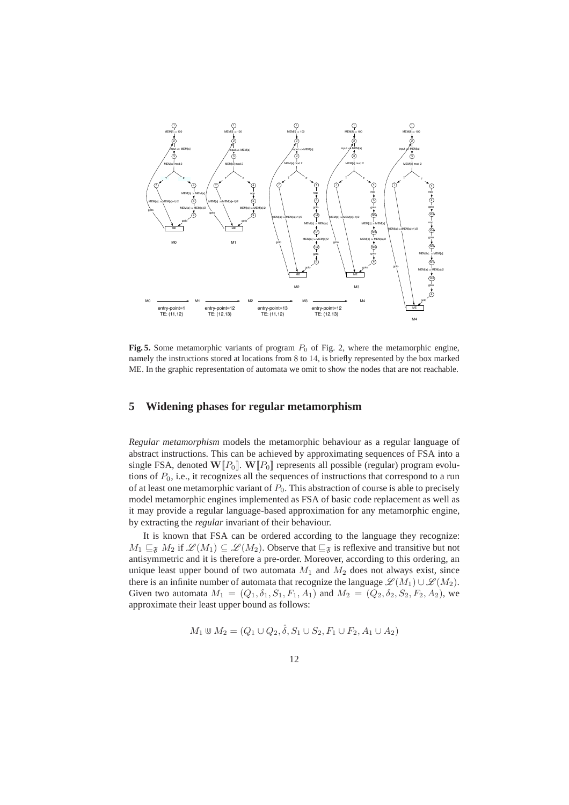

**Fig. 5.** Some metamorphic variants of program  $P_0$  of Fig. 2, where the metamorphic engine, namely the instructions stored at locations from 8 to 14, is briefly represented by the box marked ME. In the graphic representation of automata we omit to show the nodes that are not reachable.

## **5 Widening phases for regular metamorphism**

*Regular metamorphism* models the metamorphic behaviour as a regular language of abstract instructions. This can be achieved by approximating sequences of FSA into a single FSA, denoted  $\mathbf{W}[P_0]$ .  $\mathbf{W}[P_0]$  represents all possible (regular) program evolutions of  $P_0$ , i.e., it recognizes all the sequences of instructions that correspond to a run of at least one metamorphic variant of  $P_0$ . This abstraction of course is able to precisely model metamorphic engines implemented as FSA of basic code replacement as well as it may provide a regular language-based approximation for any metamorphic engine, by extracting the *regular* invariant of their behaviour.

It is known that FSA can be ordered according to the language they recognize:  $M_1 \sqsubseteq_{\mathfrak{F}} M_2$  if  $\mathscr{L}(M_1) \subseteq \mathscr{L}(M_2)$ . Observe that  $\sqsubseteq_{\mathfrak{F}}$  is reflexive and transitive but not antisymmetric and it is therefore a pre-order. Moreover, according to this ordering, an unique least upper bound of two automata  $M_1$  and  $M_2$  does not always exist, since there is an infinite number of automata that recognize the language  $\mathscr{L}(M_1) \cup \mathscr{L}(M_2)$ . Given two automata  $M_1 = (Q_1, \delta_1, S_1, F_1, A_1)$  and  $M_2 = (Q_2, \delta_2, S_2, F_2, A_2)$ , we approximate their least upper bound as follows:

$$
M_1 \cup M_2 = (Q_1 \cup Q_2, \hat{\delta}, S_1 \cup S_2, F_1 \cup F_2, A_1 \cup A_2)
$$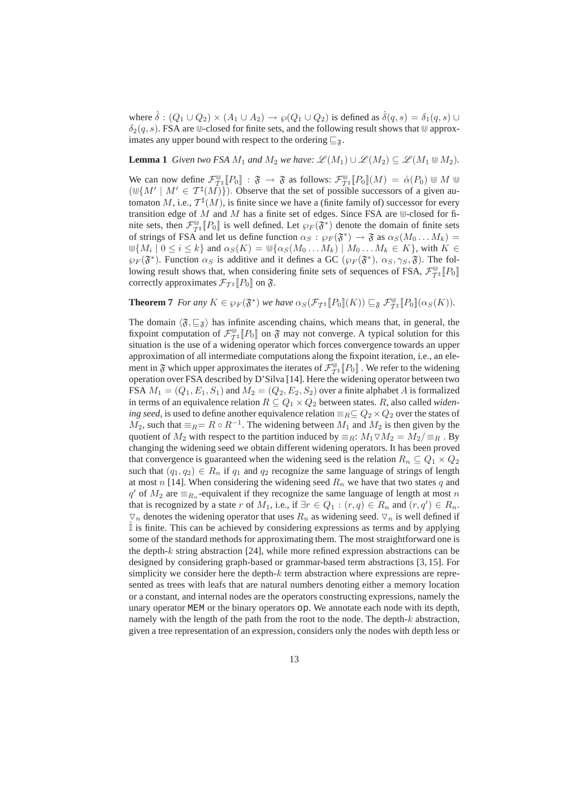where  $\hat{\delta}: (Q_1 \cup Q_2) \times (A_1 \cup A_2) \rightarrow \wp(Q_1 \cup Q_2)$  is defined as  $\hat{\delta}(q, s) = \delta_1(q, s) \cup$  $\delta_2(q, s)$ . FSA are  $\cup$ -closed for finite sets, and the following result shows that  $\cup$  approximates any upper bound with respect to the ordering  $\sqsubseteq_{\mathfrak{F}}$ .

**Lemma 1** *Given two FSA*  $M_1$  *and*  $M_2$  *we have:*  $\mathscr{L}(M_1) \cup \mathscr{L}(M_2) \subseteq \mathscr{L}(M_1 \cup M_2)$ *.* 

We can now define  $\mathcal{F}_{\mathcal{T}^{\sharp}}^{\mathbb{U}}[P_0] : \mathfrak{F} \to \mathfrak{F}$  as follows:  $\mathcal{F}_{\mathcal{T}^{\sharp}}^{\mathbb{U}}[P_0](M) = \mathfrak{d}(P_0) \mathbb{U}[M]$  $(\mathbb{Q}\{M' \mid M' \in \mathcal{T}^{\sharp}(M)\})$ . Observe that the set of possible successors of a given automaton M, i.e.,  $\mathcal{T}^{\sharp}(M)$ , is finite since we have a (finite family of) successor for every transition edge of  $M$  and  $M$  has a finite set of edges. Since FSA are  $\mathbb U$ -closed for finite sets, then  $\mathcal{F}_{\mathcal{I}^{\#}}^{\omega}[[P_0]]$  is well defined. Let  $\wp_F(\mathfrak{F}^*)$  denote the domain of finite sets of strings of FSA and let us define function  $\alpha_S : \wp_F(\mathfrak{F}^*) \to \mathfrak{F}$  as  $\alpha_S(M_0 \dots M_k) =$  $\cup \{M_i \mid 0 \le i \le k\}$  and  $\alpha_S(K) = \cup \{\alpha_S(M_0 \dots M_k) \mid M_0 \dots M_k \in K\}$ , with  $K \in$  $\wp_F(\mathfrak{F}^*)$ . Function  $\alpha_S$  is additive and it defines a GC  $(\wp_F(\mathfrak{F}^*))$ ,  $\alpha_S, \gamma_S, \mathfrak{F})$ . The following result shows that, when considering finite sets of sequences of FSA,  $\mathcal{F}_{T^{\sharp}}^{\mathbb{U}}[P_0]$ correctly approximates  $\mathcal{F}_{\mathcal{T}^{\sharp}}[\![P_{0}]\!]$  on  $\mathfrak{F}$ .

**Theorem 7** *For any*  $K \in \wp_F(\mathfrak{F}^*)$  *we have*  $\alpha_S(\mathcal{F}_{\mathcal{T}^{\sharp}}[\![P_0]\!](K)) \sqsubseteq_{\mathfrak{F}} \mathcal{F}_{\mathcal{T}^{\sharp}}^{\omega}[\![P_0]\!](\alpha_S(K)).$ 

The domain  $\langle \mathfrak{F}, \sqsubseteq_{\mathfrak{F}} \rangle$  has infinite ascending chains, which means that, in general, the fixpoint computation of  $\mathcal{F}_{T^{\sharp}}^{\omega}[P_0]$  on  $\mathfrak F$  may not converge. A typical solution for this situation is the use of a widening operator which forces convergence towards an upper approximation of all intermediate computations along the fixpoint iteration, i.e., an element in  $\mathfrak F$  which upper approximates the iterates of  $\mathcal F^{\omega}_{\mathcal T^{\sharp}}[P_0]$ . We refer to the widening operation over FSA described by D'Silva [14]. Here the widening operator between two FSA  $M_1 = (Q_1, E_1, S_1)$  and  $M_2 = (Q_2, E_2, S_2)$  over a finite alphabet A is formalized in terms of an equivalence relation  $R \subseteq Q_1 \times Q_2$  between states. R, also called *widening seed*, is used to define another equivalence relation  $\equiv_R \subseteq Q_2 \times Q_2$  over the states of  $M_2$ , such that  $\equiv_R = R \circ R^{-1}$ . The widening between  $M_1$  and  $M_2$  is then given by the quotient of  $M_2$  with respect to the partition induced by  $\equiv_R: M_1 \triangledown M_2 = M_2 / \equiv_R$ . By changing the widening seed we obtain different widening operators. It has been proved that convergence is guaranteed when the widening seed is the relation  $R_n \subseteq Q_1 \times Q_2$ such that  $(q_1, q_2) \in R_n$  if  $q_1$  and  $q_2$  recognize the same language of strings of length at most n [14]. When considering the widening seed  $R_n$  we have that two states q and  $q'$  of  $M_2$  are  $\equiv_{R_n}$ -equivalent if they recognize the same language of length at most n that is recognized by a state r of  $M_1$ , i.e., if  $\exists r \in Q_1 : (r, q) \in R_n$  and  $(r, q') \in R_n$ .  $\nabla_n$  denotes the widening operator that uses  $R_n$  as widening seed.  $\nabla_n$  is well defined if  $\mathbb{I}$  is finite. This can be achieved by considering expressions as terms and by applying some of the standard methods for approximating them. The most straightforward one is the depth- $k$  string abstraction [24], while more refined expression abstractions can be designed by considering graph-based or grammar-based term abstractions [3, 15]. For simplicity we consider here the depth- $k$  term abstraction where expressions are represented as trees with leafs that are natural numbers denoting either a memory location or a constant, and internal nodes are the operators constructing expressions, namely the unary operator MEM or the binary operators op. We annotate each node with its depth, namely with the length of the path from the root to the node. The depth- $k$  abstraction, given a tree representation of an expression, considers only the nodes with depth less or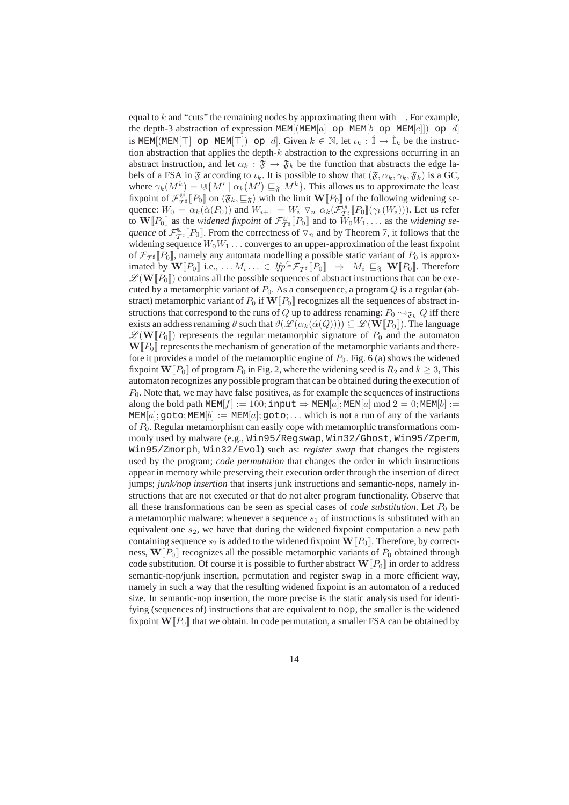equal to k and "cuts" the remaining nodes by approximating them with  $\top$ . For example, the depth-3 abstraction of expression  $MEM[MEM[a]$  op  $MEM[b]$  op  $MEM[c]]$ ) op d is MEM[(MEM[⊤] op MEM[⊤]) op d. Given  $k \in \mathbb{N}$ , let  $\iota_k : \mathbb{I} \to \mathbb{I}_k$  be the instruction abstraction that applies the depth-k abstraction to the expressions occurring in an abstract instruction, and let  $\alpha_k : \mathfrak{F} \to \mathfrak{F}_k$  be the function that abstracts the edge labels of a FSA in  $\mathfrak F$  according to  $\iota_k$ . It is possible to show that  $(\mathfrak F,\alpha_k,\gamma_k,\mathfrak F_k)$  is a GC, where  $\gamma_k(M^k) = \mathbb{U}\{M' \mid \alpha_k(M') \sqsubseteq_{\mathfrak{F}} M^k\}$ . This allows us to approximate the least fixpoint of  $\mathcal{F}_{T^{\sharp}}^{\psi}[P_0]$  on  $\langle \mathfrak{F}_k, \Xi_{\mathfrak{F}} \rangle$  with the limit  $\mathbf{W}[P_0]$  of the following widening sequence:  $W_0 = \alpha_k(\mathring{\alpha}(P_0))$  and  $W_{i+1} = W_i \nabla_n \alpha_k(\mathcal{F}_{\mathcal{I}^{\sharp}}^{\mathcal{P}}[[P_0]](\gamma_k(W_i))).$  Let us refer to  $\mathbf{W}[\![P_0]\!]$  as the *widened fixpoint* of  $\mathcal{F}_{\mathcal{I}^{\sharp}}^{\mathbb{U}}[\![P_0]\!]$  and to  $W_0W_1,\ldots$  as the *widening sequence* of  $\mathcal{F}_{T^{\sharp}}^{\omega}$  [P<sub>0</sub>]. From the correctness of  $\nabla_n$  and by Theorem 7, it follows that the widening sequence  $W_0W_1 \ldots$  converges to an upper-approximation of the least fixpoint of  $\mathcal{F}_{\mathcal{T}^{\sharp}}[P_0]$ , namely any automata modelling a possible static variant of  $P_0$  is approximated by  $\mathbf{W}[\![P_0]\!]$  i.e.,  $\ldots$   $M_i$   $\ldots$   $\in$   $\mathit{lfp}\subseteq \mathcal{F}_{\mathcal{T}^\sharp}[\![P_0]\!]$   $\Rightarrow$   $M_i \sqsubseteq_\mathfrak{F} \mathbf{W}[\![P_0]\!]$ . Therefore  $\mathscr{L}(\mathbf{W}[\mathbb{P}_0])$  contains all the possible sequences of abstract instructions that can be executed by a metamorphic variant of  $P_0$ . As a consequence, a program Q is a regular (abstract) metamorphic variant of  $P_0$  if  $\mathbf{W}[P_0]$  recognizes all the sequences of abstract instructions that correspond to the runs of Q up to address renaming:  $P_0 \sim_{\mathfrak{F}_k} Q$  iff there exists an address renaming  $\vartheta$  such that  $\vartheta(\mathcal{L}(\alpha_k(\mathring{\alpha}(Q)))) \subseteq \mathcal{L}(\mathbf{W}[\![P_0]\!])$ . The language  $\mathscr{L}(\mathbf{W}[P_0])$  represents the regular metamorphic signature of  $P_0$  and the automaton  $\mathbf{W}[\![P_0]\!]$  represents the mechanism of generation of the metamorphic variants and therefore it provides a model of the metamorphic engine of  $P_0$ . Fig. 6 (a) shows the widened fixpoint  $\mathbf{W}[[P_0]]$  of program  $P_0$  in Fig. 2, where the widening seed is  $R_2$  and  $k \geq 3$ , This automaton recognizes any possible program that can be obtained during the execution of  $P_0$ . Note that, we may have false positives, as for example the sequences of instructions along the bold path  $MEM[f] := 100$ ; input  $\Rightarrow MEM[a]$ ;  $MEM[a]$  mod  $2 = 0$ ;  $MEM[b] :=$  $MEM[a];$  goto;  $MEM[b] := MEM[a];$  goto;... which is not a run of any of the variants of  $P_0$ . Regular metamorphism can easily cope with metamorphic transformations commonly used by malware (e.g., Win95/Regswap, Win32/Ghost, Win95/Zperm, Win95/Zmorph, Win32/Evol) such as: *register swap* that changes the registers used by the program; *code permutation* that changes the order in which instructions appear in memory while preserving their execution order through the insertion of direct jumps; *junk/nop insertion* that inserts junk instructions and semantic-nops, namely instructions that are not executed or that do not alter program functionality. Observe that all these transformations can be seen as special cases of *code substitution*. Let  $P_0$  be a metamorphic malware: whenever a sequence  $s<sub>1</sub>$  of instructions is substituted with an equivalent one  $s_2$ , we have that during the widened fixpoint computation a new path containing sequence  $s_2$  is added to the widened fixpoint  $\mathbf{W}[P_0]$ . Therefore, by correctness,  $\mathbf{W}$ [ $P_0$ ] recognizes all the possible metamorphic variants of  $P_0$  obtained through code substitution. Of course it is possible to further abstract  $\mathbf{W}[\![P_0]\!]$  in order to address semantic-nop/junk insertion, permutation and register swap in a more efficient way, namely in such a way that the resulting widened fixpoint is an automaton of a reduced size. In semantic-nop insertion, the more precise is the static analysis used for identifying (sequences of) instructions that are equivalent to nop, the smaller is the widened fixpoint  $\mathbf{W}[P_0]$  that we obtain. In code permutation, a smaller FSA can be obtained by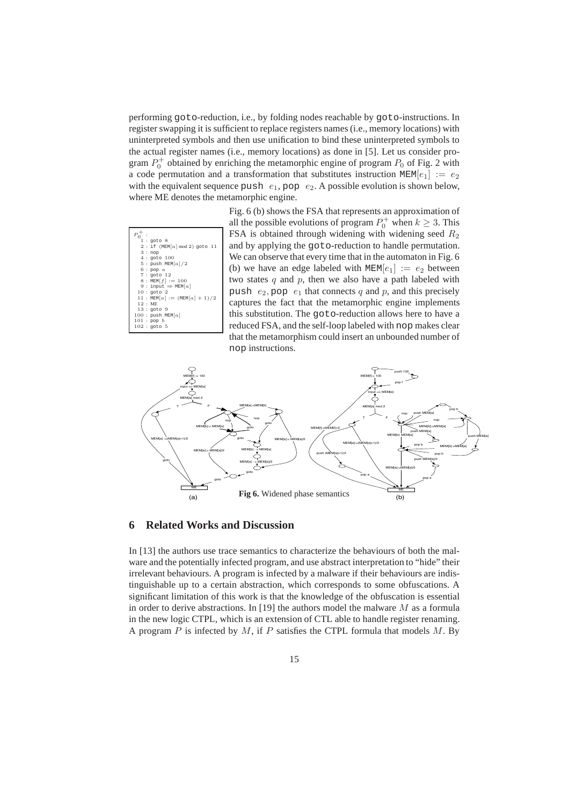performing goto-reduction, i.e., by folding nodes reachable by goto-instructions. In register swapping it is sufficient to replace registers names (i.e., memory locations) with uninterpreted symbols and then use unification to bind these uninterpreted symbols to the actual register names (i.e., memory locations) as done in [5]. Let us consider program  $P_0^+$  obtained by enriching the metamorphic engine of program  $P_0$  of Fig. 2 with a code permutation and a transformation that substitutes instruction  $MEM[e_1] := e_2$ with the equivalent sequence push  $e_1$ , pop  $e_2$ . A possible evolution is shown below, where ME denotes the metamorphic engine.

|         | 1: qoto 8                         |
|---------|-----------------------------------|
|         | $2:$ if $(MEM[a] \mod 2)$ goto 11 |
|         | $3:$ nop                          |
|         | 4: qoto 100                       |
|         | $5:$ push MEM[a]/2                |
|         | $6:$ pop a                        |
|         | 7: qoto 12                        |
|         | $8: MEM[f] := 100$                |
|         | 9 : input $\Rightarrow$ MEM[a]    |
|         | $10:$ goto $2$                    |
|         | $11: MEM[a] := (MEM[a] + 1)/2$    |
| 12 : ME |                                   |
|         | 13: qoto9                         |
|         | $100:$ push MEM[a]                |
|         | $101:$ pop $b$                    |
|         | $102:$ goto $5$                   |

Fig. 6 (b) shows the FSA that represents an approximation of all the possible evolutions of program  $P_0^+$  when  $k \geq 3$ . This FSA is obtained through widening with widening seed  $R_2$ and by applying the goto-reduction to handle permutation. We can observe that every time that in the automaton in Fig. 6 (b) we have an edge labeled with  $MEM[e_1] := e_2$  between two states  $q$  and  $p$ , then we also have a path labeled with push  $e_2$ , pop  $e_1$  that connects q and p, and this precisely captures the fact that the metamorphic engine implements this substitution. The goto-reduction allows here to have a reduced FSA, and the self-loop labeled with nop makes clear that the metamorphism could insert an unbounded number of nop instructions.



### **6 Related Works and Discussion**

In [13] the authors use trace semantics to characterize the behaviours of both the malware and the potentially infected program, and use abstract interpretation to "hide" their irrelevant behaviours. A program is infected by a malware if their behaviours are indistinguishable up to a certain abstraction, which corresponds to some obfuscations. A significant limitation of this work is that the knowledge of the obfuscation is essential in order to derive abstractions. In [19] the authors model the malware  $M$  as a formula in the new logic CTPL, which is an extension of CTL able to handle register renaming. A program  $P$  is infected by  $M$ , if  $P$  satisfies the CTPL formula that models  $M$ . By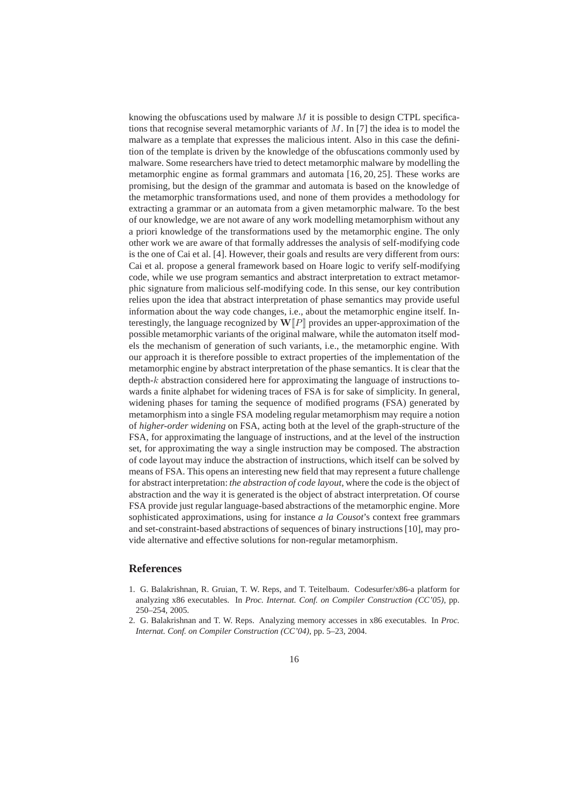knowing the obfuscations used by malware  $M$  it is possible to design CTPL specifications that recognise several metamorphic variants of  $M$ . In [7] the idea is to model the malware as a template that expresses the malicious intent. Also in this case the definition of the template is driven by the knowledge of the obfuscations commonly used by malware. Some researchers have tried to detect metamorphic malware by modelling the metamorphic engine as formal grammars and automata [16, 20, 25]. These works are promising, but the design of the grammar and automata is based on the knowledge of the metamorphic transformations used, and none of them provides a methodology for extracting a grammar or an automata from a given metamorphic malware. To the best of our knowledge, we are not aware of any work modelling metamorphism without any a priori knowledge of the transformations used by the metamorphic engine. The only other work we are aware of that formally addresses the analysis of self-modifying code is the one of Cai et al. [4]. However, their goals and results are very different from ours: Cai et al. propose a general framework based on Hoare logic to verify self-modifying code, while we use program semantics and abstract interpretation to extract metamorphic signature from malicious self-modifying code. In this sense, our key contribution relies upon the idea that abstract interpretation of phase semantics may provide useful information about the way code changes, i.e., about the metamorphic engine itself. Interestingly, the language recognized by  $W[P]$  provides an upper-approximation of the possible metamorphic variants of the original malware, while the automaton itself models the mechanism of generation of such variants, i.e., the metamorphic engine. With our approach it is therefore possible to extract properties of the implementation of the metamorphic engine by abstract interpretation of the phase semantics. It is clear that the depth-k abstraction considered here for approximating the language of instructions towards a finite alphabet for widening traces of FSA is for sake of simplicity. In general, widening phases for taming the sequence of modified programs (FSA) generated by metamorphism into a single FSA modeling regular metamorphism may require a notion of *higher-order widening* on FSA, acting both at the level of the graph-structure of the FSA, for approximating the language of instructions, and at the level of the instruction set, for approximating the way a single instruction may be composed. The abstraction of code layout may induce the abstraction of instructions, which itself can be solved by means of FSA. This opens an interesting new field that may represent a future challenge for abstract interpretation: *the abstraction of code layout*, where the code is the object of abstraction and the way it is generated is the object of abstract interpretation. Of course FSA provide just regular language-based abstractions of the metamorphic engine. More sophisticated approximations, using for instance *a la Cousot*'s context free grammars and set-constraint-based abstractions of sequences of binary instructions [10], may provide alternative and effective solutions for non-regular metamorphism.

### **References**

- 1. G. Balakrishnan, R. Gruian, T. W. Reps, and T. Teitelbaum. Codesurfer/x86-a platform for analyzing x86 executables. In *Proc. Internat. Conf. on Compiler Construction (CC'05)*, pp. 250–254, 2005.
- 2. G. Balakrishnan and T. W. Reps. Analyzing memory accesses in x86 executables. In *Proc. Internat. Conf. on Compiler Construction (CC'04)*, pp. 5–23, 2004.